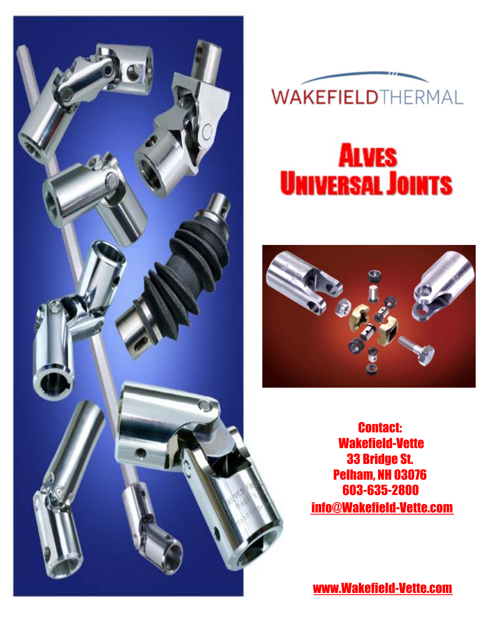



# **ALVES UNIVERSAL JOINTS**



Contact: 33 Bridge St. Pelham, NH 03076 603-635-2800 [info@Wakefield-Vette.com](mailto:info@wakefield-vette.com) Wakefield-Vette

[www.Wakefield-Vette.com](http://www.wakefield-vette.com)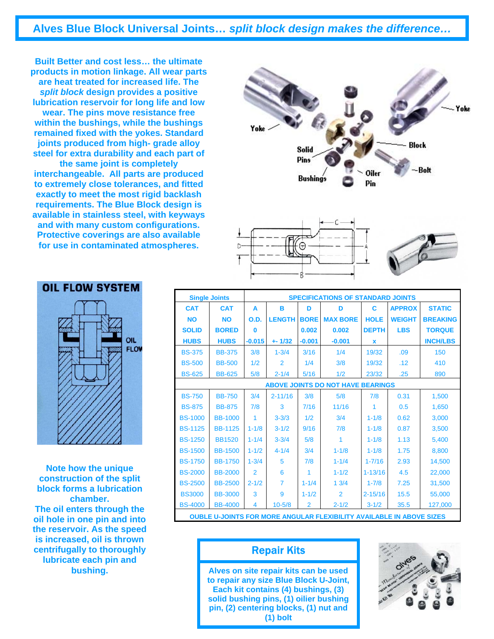**Alves Blue Block Universal Joints…** *split block design makes the difference…*

**Built Better and cost less… the ultimate products in motion linkage. All wear parts are heat treated for increased life. The**  *split block* **design provides a positive lubrication reservoir for long life and low wear. The pins move resistance free within the bushings, while the bushings remained fixed with the yokes. Standard joints produced from high- grade alloy steel for extra durability and each part of the same joint is completely interchangeable. All parts are produced to extremely close tolerances, and fitted exactly to meet the most rigid backlash requirements. The Blue Block design is available in stainless steel, with keyways** 

**and with many custom configurations. Protective coverings are also available for use in contaminated atmospheres.** 







| OIL<br>FLOW |
|-------------|
|             |
|             |
|             |

**Note how the unique construction of the split block forms a lubrication chamber. The oil enters through the oil hole in one pin and into the reservoir. As the speed is increased, oil is thrown centrifugally to thoroughly lubricate each pin and bushing.**

|                | <b>Single Joints</b>                                                        | <b>SPECIFICATIONS OF STANDARD JOINTS</b> |                |                |                                          |              |               |                 |  |
|----------------|-----------------------------------------------------------------------------|------------------------------------------|----------------|----------------|------------------------------------------|--------------|---------------|-----------------|--|
| <b>CAT</b>     | <b>CAT</b>                                                                  | A                                        | в              | D              | D                                        | C            | <b>APPROX</b> | <b>STATIC</b>   |  |
| <b>NO</b>      | <b>NO</b>                                                                   | O.D.                                     | <b>LENGTH</b>  | <b>BORE</b>    | <b>MAX BORE</b>                          | <b>HOLE</b>  | <b>WEIGHT</b> | <b>BREAKING</b> |  |
| <b>SOLID</b>   | <b>BORED</b>                                                                | $\bf{0}$                                 |                | 0.002          | 0.002                                    | <b>DEPTH</b> | <b>LBS</b>    | <b>TORQUE</b>   |  |
| <b>HUBS</b>    | <b>HUBS</b>                                                                 | $-0.015$                                 | $+ 1/32$       | $-0.001$       | $-0.001$                                 | X            |               | <b>INCH/LBS</b> |  |
| <b>BS-375</b>  | <b>BB-375</b>                                                               | 3/8                                      | $1 - 3/4$      | 3/16           | 1/4                                      | 19/32        | .09           | 150             |  |
| <b>BS-500</b>  | <b>BB-500</b>                                                               | 1/2                                      | $\mathfrak{p}$ | 1/4            | 3/8                                      | 19/32        | .12           | 410             |  |
| <b>BS-625</b>  | <b>BB-625</b>                                                               | 5/8                                      | $2 - 1/4$      | 5/16           | 1/2                                      | 23/32        | .25           | 890             |  |
|                |                                                                             |                                          |                |                | <b>ABOVE JOINTS DO NOT HAVE BEARINGS</b> |              |               |                 |  |
| <b>BS-750</b>  | <b>BB-750</b>                                                               | 3/4                                      | $2 - 11/16$    | 3/8            | 5/8                                      | 7/8          | 0.31          | 1,500           |  |
| <b>BS-875</b>  | <b>BB-875</b>                                                               | 7/8                                      | 3              | 7/16           | 11/16                                    | 1            | 0.5           | 1,650           |  |
| <b>BS-1000</b> | <b>BB-1000</b>                                                              |                                          | $3 - 3/3$      | 1/2            | 3/4                                      | $1 - 1/8$    | 0.62          | 3,000           |  |
| <b>BS-1125</b> | <b>BB-1125</b>                                                              | $1 - 1/8$                                | $3 - 1/2$      | 9/16           | 7/8                                      | $1 - 1/8$    | 0.87          | 3,500           |  |
| <b>BS-1250</b> | <b>BB1520</b>                                                               | $1 - 1/4$                                | $3 - 3/4$      | 5/8            | 1                                        | $1 - 1/8$    | 1.13          | 5,400           |  |
| <b>BS-1500</b> | <b>BB-1500</b>                                                              | $1 - 1/2$                                | $4 - 1/4$      | 3/4            | $1 - 1/8$                                | $1 - 1/8$    | 1.75          | 8,800           |  |
| <b>BS-1750</b> | <b>BB-1750</b>                                                              | $1 - 3/4$                                | 5              | 7/8            | $1 - 1/4$                                | $1 - 7/16$   | 2.93          | 14,500          |  |
| <b>BS-2000</b> | <b>BB-2000</b>                                                              | $\overline{2}$                           | 6              |                | $1 - 1/2$                                | $1 - 13/16$  | 4.5           | 22,000          |  |
| <b>BS-2500</b> | <b>BB-2500</b>                                                              | $2 - 1/2$                                | $\overline{7}$ | $1 - 1/4$      | 13/4                                     | $1 - 7/8$    | 7.25          | 31,500          |  |
| <b>BS3000</b>  | <b>BB-3000</b>                                                              | 3                                        | 9              | $1 - 1/2$      | $\overline{2}$                           | $2 - 15/16$  | 15.5          | 55,000          |  |
| <b>BS-4000</b> | <b>BB-4000</b>                                                              | 4                                        | $10 - 5/8$     | $\overline{2}$ | $2 - 1/2$                                | $3 - 1/2$    | 35.5          | 127,000         |  |
|                | <b>OUBLE U-JOINTS FOR MORE ANGULAR FLEXIBILITY AVAILABLE IN ABOVE SIZES</b> |                                          |                |                |                                          |              |               |                 |  |

#### Repair Kits

**Alves on site repair kits can be used to repair any size Blue Block U-Joint, Each kit contains (4) bushings, (3) solid bushing pins, (1) oilier bushing pin, (2) centering blocks, (1) nut and (1) bolt** 



#### **OIL FLOW SYSTEM**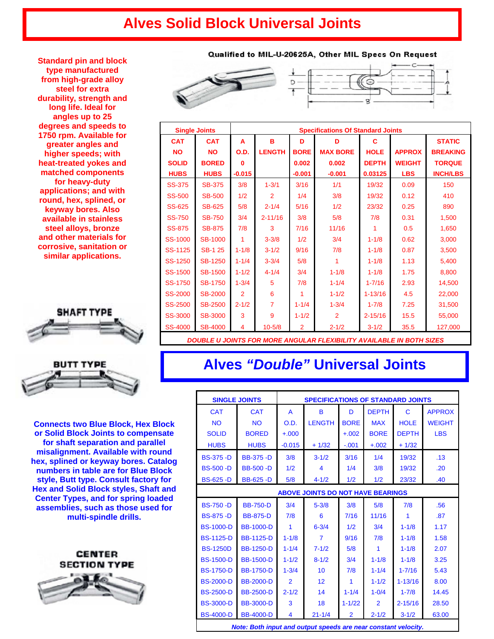### **Alves Solid Block Universal Joints**

**Standard pin and block type manufactured from high-grade alloy steel for extra durability, strength and long life. Ideal for angles up to 25 degrees and speeds to 1750 rpm. Available for greater angles and higher speeds; with heat-treated yokes and matched components for heavy-duty applications; and with round, hex, splined, or keyway bores. Also available in stainless steel alloys, bronze and other materials for corrosive, sanitation or similar applications.** 





**Connects two Blue Block, Hex Block or Solid Block Joints to compensate for shaft separation and parallel misalignment. Available with round hex, splined or keyway bores. Catalog numbers in table are for Blue Block style, Butt type. Consult factory for Hex and Solid Block styles, Shaft and Center Types, and for spring loaded assemblies, such as those used for multi-spindle drills.** 



#### Qualified to MIL-U-20625A, Other MIL Specs On Request





| <b>Single Joints</b> |                | <b>Specifications Of Standard Joints</b> |                |                |                                                                             |              |               |                 |
|----------------------|----------------|------------------------------------------|----------------|----------------|-----------------------------------------------------------------------------|--------------|---------------|-----------------|
| <b>CAT</b>           | <b>CAT</b>     | A                                        | в              | D              | D                                                                           | C            |               | <b>STATIC</b>   |
| <b>NO</b>            | <b>NO</b>      | O.D.                                     | <b>LENGTH</b>  | <b>BORE</b>    | <b>MAX BORE</b>                                                             | <b>HOLE</b>  | <b>APPROX</b> | <b>BREAKING</b> |
| <b>SOLID</b>         | <b>BORED</b>   | n                                        |                | 0.002          | 0.002                                                                       | <b>DEPTH</b> | <b>WEIGHT</b> | <b>TORQUE</b>   |
| <b>HUBS</b>          | <b>HUBS</b>    | $-0.015$                                 |                | $-0.001$       | $-0.001$                                                                    | 0.03125      | <b>LBS</b>    | <b>INCH/LBS</b> |
| <b>SS-375</b>        | <b>SB-375</b>  | 3/8                                      | $1 - 3/1$      | 3/16           | 1/1                                                                         | 19/32        | 0.09          | 150             |
| <b>SS-500</b>        | <b>SB-500</b>  | 1/2                                      | $\overline{2}$ | 1/4            | 3/8                                                                         | 19/32        | 0.12          | 410             |
| <b>SS-625</b>        | <b>SB-625</b>  | 5/8                                      | $2 - 1/4$      | 5/16           | 1/2                                                                         | 23/32        | 0.25          | 890             |
| <b>SS-750</b>        | <b>SB-750</b>  | 3/4                                      | $2 - 11/16$    | 3/8            | 5/8                                                                         | 7/8          | 0.31          | 1,500           |
| <b>SS-875</b>        | <b>SB-875</b>  | 7/8                                      | 3              | 7/16           | 11/16                                                                       | 1            | 0.5           | 1,650           |
| SS-1000              | <b>SB-1000</b> | 1                                        | $3 - 3/8$      | 1/2            | 3/4                                                                         | $1 - 1/8$    | 0.62          | 3,000           |
| SS-1125              | <b>SB-1 25</b> | $1 - 1/8$                                | $3 - 1/2$      | 9/16           | 7/8                                                                         | $1 - 1/8$    | 0.87          | 3,500           |
| SS-1250              | <b>SB-1250</b> | $1 - 1/4$                                | $3 - 3/4$      | 5/8            | 1                                                                           | $1 - 1/8$    | 1.13          | 5.400           |
| <b>SS-1500</b>       | <b>SB-1500</b> | $1 - 1/2$                                | $4 - 1/4$      | 3/4            | $1 - 1/8$                                                                   | $1 - 1/8$    | 1.75          | 8,800           |
| <b>SS-1750</b>       | <b>SB-1750</b> | $1 - 3/4$                                | 5              | 7/8            | $1 - 1/4$                                                                   | $1 - 7/16$   | 2.93          | 14,500          |
| <b>SS-2000</b>       | <b>SB-2000</b> | $\overline{2}$                           | 6              | 1              | $1 - 1/2$                                                                   | $1 - 13/16$  | 4.5           | 22,000          |
| <b>SS-2500</b>       | <b>SB-2500</b> | $2 - 1/2$                                | $\overline{7}$ | $1 - 1/4$      | $1 - 3/4$                                                                   | $1 - 7/8$    | 7.25          | 31,500          |
| <b>SS-3000</b>       | <b>SB-3000</b> | 3                                        | 9              | $1 - 1/2$      | $\overline{2}$                                                              | $2 - 15/16$  | 15.5          | 55,000          |
| <b>SS-4000</b>       | <b>SB-4000</b> | 4                                        | $10 - 5/8$     | $\overline{2}$ | $2 - 1/2$                                                                   | $3 - 1/2$    | 35.5          | 127,000         |
|                      |                |                                          |                |                | <b>DOUBLE U JOINTS FOR MORE ANGULAR FLEXIBILITY AVAILABLE IN BOTH SIZES</b> |              |               |                 |

#### **Alves** *"Double"* **Universal Joints**

| <b>SINGLE JOINTS</b>                                                                                                 |                  | <b>SPECIFICATIONS OF STANDARD JOINTS</b> |                |                |                |              |               |  |
|----------------------------------------------------------------------------------------------------------------------|------------------|------------------------------------------|----------------|----------------|----------------|--------------|---------------|--|
| <b>CAT</b>                                                                                                           | <b>CAT</b>       | A                                        | B              | D              | <b>DEPTH</b>   | $\mathsf{C}$ | <b>APPROX</b> |  |
| <b>NO</b>                                                                                                            | <b>NO</b>        | O.D.                                     | <b>LENGTH</b>  | <b>BORE</b>    | <b>MAX</b>     | <b>HOLE</b>  | <b>WEIGHT</b> |  |
| <b>SOLID</b>                                                                                                         | <b>BORED</b>     | $+.000$                                  |                | $+.002$        | <b>BORE</b>    | <b>DEPTH</b> | <b>LBS</b>    |  |
| <b>HUBS</b>                                                                                                          | <b>HUBS</b>      | $-0.015$                                 | $+1/32$        | $-.001$        | $+.002$        | $+1/32$      |               |  |
| <b>BS-375 -D</b>                                                                                                     | <b>BB-375 -D</b> | 3/8                                      | $3 - 1/2$      | 3/16           | 1/4            | 19/32        | .13           |  |
| <b>BS-500 -D</b>                                                                                                     | <b>BB-500 -D</b> | 1/2                                      | 4              | 1/4            | 3/8            | 19/32        | .20           |  |
| <b>BS-625 -D</b>                                                                                                     | <b>BB-625 -D</b> | 5/8                                      | $4 - 1/2$      | 1/2            | 1/2            | 23/32        | .40           |  |
| <b>ABOVE JOINTS DO NOT HAVE BEARINGS</b>                                                                             |                  |                                          |                |                |                |              |               |  |
| <b>BS-750 -D</b>                                                                                                     | <b>BB-750-D</b>  | 3/4                                      | $5 - 3/8$      | 3/8            | 5/8            | 7/8          | .56           |  |
| <b>BS-875 -D</b>                                                                                                     | <b>BB-875-D</b>  | 7/8                                      | 6              | 7/16           | 11/16          | 1            | .87           |  |
| <b>BS-1000-D</b>                                                                                                     | <b>BB-1000-D</b> | 1                                        | $6 - 3/4$      | 1/2            | 3/4            | $1 - 1/8$    | 1.17          |  |
| <b>BS-1125-D</b>                                                                                                     | <b>BB-1125-D</b> | $1 - 1/8$                                | $\overline{7}$ | 9/16           | 7/8            | $1 - 1/8$    | 1.58          |  |
| <b>BS-1250D</b>                                                                                                      | <b>BB-1250-D</b> | $1 - 1/4$                                | $7 - 1/2$      | 5/8            | 1              | $1 - 1/8$    | 2.07          |  |
| <b>BS-1500-D</b>                                                                                                     | <b>BB-1500-D</b> | $1 - 1/2$                                | $8 - 1/2$      | 3/4            | $1 - 1/8$      | $1 - 1/8$    | 3.25          |  |
| <b>BS-1750-D</b>                                                                                                     | <b>BB-1750-D</b> | $1 - 3/4$                                | 10             | 7/8            | $1 - 1/4$      | $1 - 7/16$   | 5.43          |  |
| <b>BS-2000-D</b>                                                                                                     | <b>BB-2000-D</b> | $\overline{2}$                           | 12             | 1              | $1 - 1/2$      | $1 - 13/16$  | 8.00          |  |
| <b>BS-2500-D</b>                                                                                                     | <b>BB-2500-D</b> | $2 - 1/2$                                | 14             | $1 - 1/4$      | $1 - 0/4$      | $1 - 7/8$    | 14.45         |  |
| <b>BS-3000-D</b>                                                                                                     | <b>BB-3000-D</b> | 3                                        | 18             | $1 - 1/22$     | $\overline{2}$ | $2 - 15/16$  | 28.50         |  |
| <b>BS-4000-D</b>                                                                                                     | <b>BB-4000-D</b> | 4                                        | $21 - 1/4$     | $\overline{2}$ | $2 - 1/2$      | $3 - 1/2$    | 63.00         |  |
| .<br>the contract of the contract of the contract of the contract of the contract of the contract of the contract of |                  |                                          |                |                |                |              |               |  |

*Note: Both input and output speeds are near constant velocity.*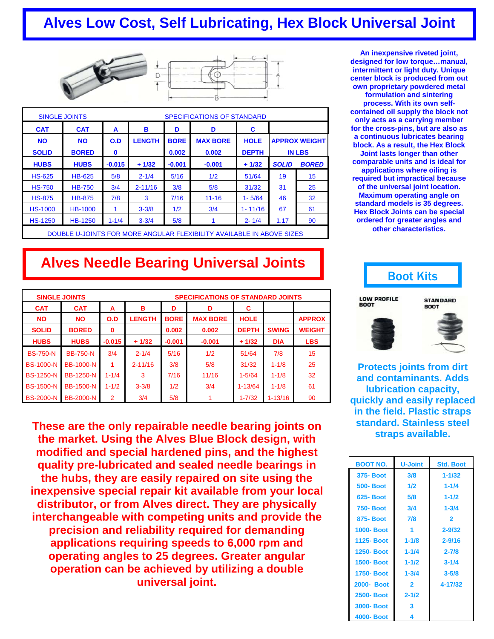### **Alves Low Cost, Self Lubricating, Hex Block Universal Joint**



|                | <b>SINGLE JOINTS</b>                                                  | <b>SPECIFICATIONS OF STANDARD</b> |               |             |                 |              |              |                      |  |
|----------------|-----------------------------------------------------------------------|-----------------------------------|---------------|-------------|-----------------|--------------|--------------|----------------------|--|
| <b>CAT</b>     | <b>CAT</b>                                                            | A                                 | в             | D           | D               | C            |              |                      |  |
| <b>NO</b>      | <b>NO</b>                                                             | O.D                               | <b>LENGTH</b> | <b>BORE</b> | <b>MAX BORE</b> | <b>HOLE</b>  |              | <b>APPROX WEIGHT</b> |  |
| <b>SOLID</b>   | <b>BORED</b>                                                          | $\bf{0}$                          |               | 0.002       | 0.002           | <b>DEPTH</b> |              | <b>IN LBS</b>        |  |
| <b>HUBS</b>    | <b>HUBS</b>                                                           | $-0.015$                          | $+1/32$       | $-0.001$    | $-0.001$        | $+1/32$      | <b>SOLID</b> | <b>BORED</b>         |  |
| <b>HS-625</b>  | <b>HB-625</b>                                                         | 5/8                               | $2 - 1/4$     | 5/16        | 1/2             | 51/64        | 19           | 15                   |  |
| <b>HS-750</b>  | <b>HB-750</b>                                                         | 3/4                               | $2 - 11/16$   | 3/8         | 5/8             | 31/32        | 31           | 25                   |  |
| <b>HS-875</b>  | <b>HB-875</b>                                                         | 7/8                               | 3             | 7/16        | $11 - 16$       | $1 - 5/64$   | 46           | 32                   |  |
| <b>HS-1000</b> | <b>HB-1000</b>                                                        |                                   | $3 - 3/8$     | 1/2         | 3/4             | $1 - 11/16$  | 67           | 61                   |  |
| <b>HS-1250</b> | <b>HB-1250</b>                                                        | $1 - 1/4$                         | $3 - 3/4$     | 5/8         |                 | $2 - 1/4$    | 1.17         | 90                   |  |
|                | DOUBLE U-JOINTS FOR MORE ANGULAR FLEXIBILITY AVAILABLE IN ABOVE SIZES |                                   |               |             |                 |              |              |                      |  |

**An inexpensive riveted joint, designed for low torque…manual, intermittent or light duty. Unique center block is produced from out own proprietary powdered metal formulation and sintering process. With its own selfcontained oil supply the block not only acts as a carrying member for the cross-pins, but are also as a continuous lubricates bearing block. As a result, the Hex Block Joint lasts longer than other comparable units and is ideal for applications where oiling is required but impractical because of the universal joint location. Maximum operating angle on standard models is 35 degrees. Hex Block Joints can be special ordered for greater angles and** 

**other characteristics.** 

### **Alves Needle Bearing Universal Joints**

|                  | <b>SINGLE JOINTS</b> | <b>SPECIFICATIONS OF STANDARD JOINTS</b> |               |             |                 |              |              |               |  |
|------------------|----------------------|------------------------------------------|---------------|-------------|-----------------|--------------|--------------|---------------|--|
| <b>CAT</b>       | <b>CAT</b>           | А                                        | в             | D           | D               | С            |              |               |  |
| <b>NO</b>        | <b>NO</b>            | O.D                                      | <b>LENGTH</b> | <b>BORE</b> | <b>MAX BORE</b> | <b>HOLE</b>  |              | <b>APPROX</b> |  |
| <b>SOLID</b>     | <b>BORED</b>         | 0                                        |               | 0.002       | 0.002           | <b>DEPTH</b> | <b>SWING</b> | <b>WEIGHT</b> |  |
| <b>HUBS</b>      | <b>HUBS</b>          | $-0.015$                                 | $+1/32$       | $-0.001$    | $-0.001$        | $+1/32$      | <b>DIA</b>   | <b>LBS</b>    |  |
| <b>BS-750-N</b>  | <b>BB-750-N</b>      | 3/4                                      | $2 - 1/4$     | 5/16        | 1/2             | 51/64        | 7/8          | 15            |  |
| <b>BS-1000-N</b> | <b>BB-1000-N</b>     | 1                                        | $2 - 11/16$   | 3/8         | 5/8             | 31/32        | $1 - 1/8$    | 25            |  |
| <b>BS-1250-N</b> | <b>BB-1250-N</b>     | $1 - 1/4$                                | 3             | 7/16        | 11/16           | $1 - 5/64$   | $1 - 1/8$    | 32            |  |
| <b>BS-1500-N</b> | <b>BB-1500-N</b>     | $1 - 1/2$                                | $3 - 3/8$     | 1/2         | 3/4             | $1 - 13/64$  | $1 - 1/8$    | 61            |  |
| <b>BS-2000-N</b> | <b>BB-2000-N</b>     | 2                                        | 3/4           | 5/8         |                 | $1 - 7/32$   | $1 - 13/16$  | 90            |  |

**These are the only repairable needle bearing joints on the market. Using the Alves Blue Block design, with modified and special hardened pins, and the highest quality pre-lubricated and sealed needle bearings in the hubs, they are easily repaired on site using the inexpensive special repair kit available from your local distributor, or from Alves direct. They are physically interchangeable with competing units and provide the precision and reliability required for demanding applications requiring speeds to 6,000 rpm and operating angles to 25 degrees. Greater angular operation can be achieved by utilizing a double universal joint.** 



**Protects joints from dirt and contaminants. Adds lubrication capacity, quickly and easily replaced in the field. Plastic straps standard. Stainless steel straps available.** 

| <b>BOOT NO.</b>  | <b>U-Joint</b> | <b>Std. Boot</b> |
|------------------|----------------|------------------|
| <b>375-Boot</b>  | 3/8            | $1 - 1/32$       |
| <b>500-Boot</b>  | 1/2            | $1 - 1/4$        |
| 625- Boot        | 5/8            | $1 - 1/2$        |
| <b>750-Boot</b>  | 3/4            | $1 - 3/4$        |
| <b>875-Boot</b>  | 7/8            | $\overline{2}$   |
| <b>1000-Boot</b> |                | $2 - 9/32$       |
| 1125-Boot        | $1 - 1/8$      | $2 - 9/16$       |
| <b>1250-Boot</b> | $1 - 1/4$      | $2 - 7/8$        |
| <b>1500-Boot</b> | $1 - 1/2$      | $3 - 1/4$        |
| <b>1750-Boot</b> | $1 - 3/4$      | $3 - 5/8$        |
| 2000- Boot       | $\mathbf{2}$   | 4-17/32          |
| <b>2500-Boot</b> | $2 - 1/2$      |                  |
| <b>3000-Boot</b> | 3              |                  |
| 4000-Boot        | 4              |                  |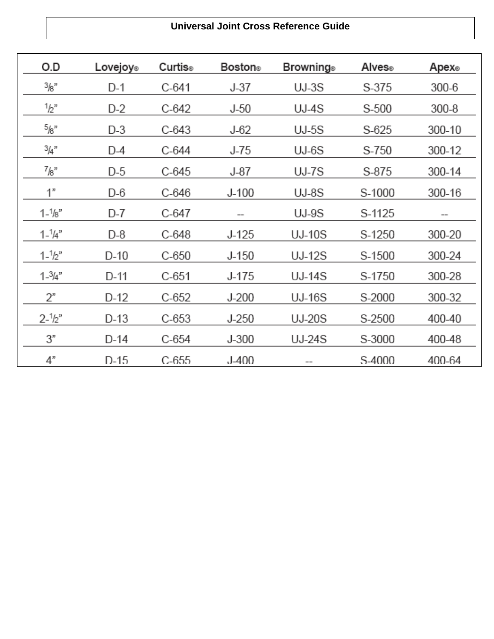#### **Universal Joint Cross Reference Guide**

| O.D               | Lovejoy® | Curtis® | Boston⊚   | Browning⊚     | Alves®  | Apex⊛  |
|-------------------|----------|---------|-----------|---------------|---------|--------|
| 3/8"              | D-1      | $C-641$ | $J-37$    | $UJ-3S$       | S-375   | 300-6  |
| 1/2               | D-2      | C-642   | $J-50$    | UJ-4S         | S-500   | 300-8  |
| 5/8"              | D-3      | $C-643$ | $J-62$    | $UJ-5S$       | $S-625$ | 300-10 |
| $^{3}/_{4}$ "     | $D-4$    | C-644   | $J-75$    | $UJ-6S$       | S-750   | 300-12 |
| $^{7}$ /8"        | $D-5$    | C-645   | $J-87$    | UJ-7S         | S-875   | 300-14 |
| 1"                | D-6      | $C-646$ | $J-100$   | $UJ-8S$       | S-1000  | 300-16 |
| $1 - \frac{1}{8}$ | D-7      | C-647   |           | UJ-9S         | S-1125  | --     |
| $1 - \frac{1}{4}$ | D-8      | C-648   | J-125     | UJ-10S        | S-1250  | 300-20 |
| $1 - \frac{1}{2}$ | $D-10$   | $C-650$ | $J-150$   | <b>UJ-12S</b> | S-1500  | 300-24 |
| $1 - \frac{3}{4}$ | D-11     | $C-651$ | J-175     | UJ-14S        | S-1750  | 300-28 |
| 2"                | D-12     | $C-652$ | $J-200$   | <b>UJ-16S</b> | S-2000  | 300-32 |
| $2 - \frac{1}{2}$ | $D-13$   | $C-653$ | $J-250$   | <b>UJ-20S</b> | S-2500  | 400-40 |
| 3"                | D-14     | $C-654$ | $J-300$   | <b>UJ-24S</b> | S-3000  | 400-48 |
| 4"                | $D-15$   | $C-655$ | $J - 400$ |               | S-4000  | 400-64 |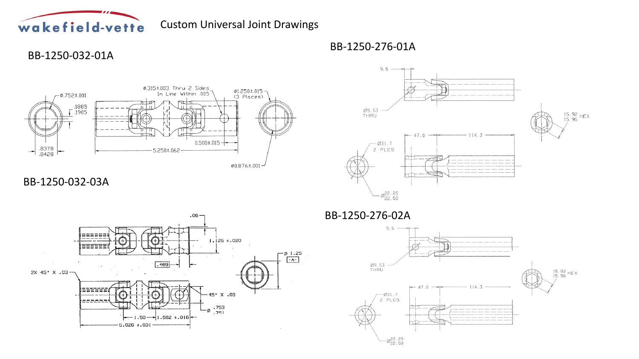

Custom Universal Joint Drawings

#### BB-1250-032-01A



 $9.5 \longrightarrow$ Ø9.53<br>THRU 15.92 HEX<br>15.96 114.3  $-47.6$  $-831.7$ 2 PLCS  $\varnothing_{22.50}^{22.25}$ 

### BB-1250-032-03A



BB-1250-276-02A

BB-1250-276-01A